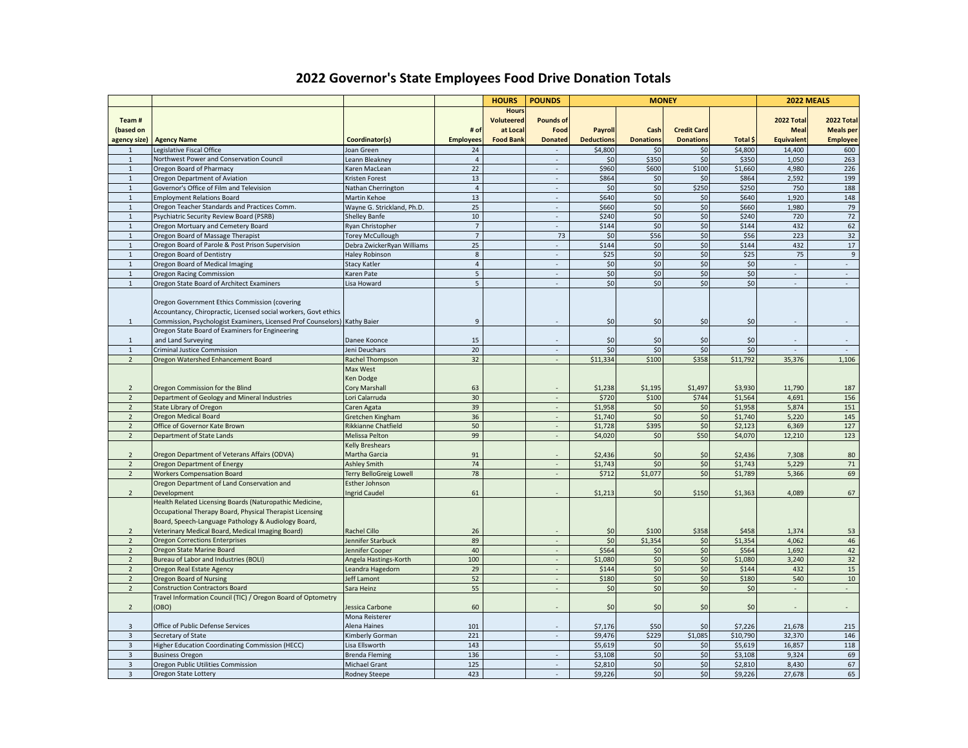## **2022 Governor's State Employees Food Drive Donation Totals**

|                             |                                                                                                         |                                      |                      | <b>HOURS</b>     | <b>POUNDS</b>                         | <b>MONEY</b>      |                  |                    |                | 2022 MEALS               |                          |
|-----------------------------|---------------------------------------------------------------------------------------------------------|--------------------------------------|----------------------|------------------|---------------------------------------|-------------------|------------------|--------------------|----------------|--------------------------|--------------------------|
|                             |                                                                                                         |                                      |                      | <b>Hours</b>     |                                       |                   |                  |                    |                |                          |                          |
| Team#                       |                                                                                                         |                                      |                      | Voluteered       | <b>Pounds of</b>                      |                   |                  |                    |                | <b>2022 Total</b>        | 2022 Total               |
| (based on                   |                                                                                                         |                                      | # of                 | at Local         | Food                                  | Payroll           | Cash             | <b>Credit Card</b> |                | <b>Meal</b>              | <b>Meals</b> per         |
| agency size)                | <b>Agency Name</b>                                                                                      | Coordinator(s)                       | <b>Employees</b>     | <b>Food Bank</b> | <b>Donated</b>                        | <b>Deductions</b> | <b>Donations</b> | <b>Donations</b>   | Total \$       | <b>Equivalent</b>        | <b>Employee</b>          |
| $\mathbf{1}$                | Legislative Fiscal Office                                                                               | Joan Green                           | 24                   |                  |                                       | \$4,800           | \$0              | \$0                | \$4,800        | 14,400                   | 600                      |
| 1                           | Northwest Power and Conservation Council                                                                | Leann Bleakney                       | $\overline{4}$       |                  | $\overline{\phantom{a}}$              | \$0               | \$350            | \$0                | \$350          | 1,050                    | 263                      |
| 1                           | Oregon Board of Pharmacy                                                                                | Karen MacLean                        | 22                   |                  | $\sim$<br>$\mathcal{L}_{\mathcal{A}}$ | \$960<br>\$864    | \$600            | \$100              | \$1,660        | 4,980                    | 226<br>199               |
| $\mathbf 1$<br>$\mathbf{1}$ | Oregon Department of Aviation<br>Governor's Office of Film and Television                               | Kristen Forest<br>Nathan Cherrington | 13<br>$\overline{4}$ |                  | $\overline{\phantom{a}}$              | \$0               | \$0<br>\$0       | \$0<br>\$250       | \$864<br>\$250 | 2,592<br>750             | 188                      |
| $\mathbf{1}$                | <b>Employment Relations Board</b>                                                                       | Martin Kehoe                         | 13                   |                  | ÷.                                    | \$640             | \$0              | \$0                | \$640          | 1,920                    | 148                      |
| $\mathbf{1}$                | Oregon Teacher Standards and Practices Comm.                                                            | Wayne G. Strickland, Ph.D.           | 25                   |                  | $\overline{\phantom{a}}$              | \$660             | \$0              | \$0                | \$660          | 1,980                    | 79                       |
| $\mathbf{1}$                | Psychiatric Security Review Board (PSRB)                                                                | <b>Shelley Banfe</b>                 | 10                   |                  | $\mathcal{L}$                         | \$240             | \$0              | \$0                | \$240          | 720                      | 72                       |
| $\mathbf{1}$                | Oregon Mortuary and Cemetery Board                                                                      | Ryan Christopher                     | $\overline{7}$       |                  | $\sim$                                | \$144             | \$0              | \$0                | \$144          | 432                      | 62                       |
| $\mathbf{1}$                | Oregon Board of Massage Therapist                                                                       | <b>Torey McCullough</b>              | $\overline{7}$       |                  | 73                                    | \$0               | \$56             | \$0                | \$56           | 223                      | 32                       |
| $\mathbf{1}$                | Oregon Board of Parole & Post Prison Supervision                                                        | Debra ZwickerRyan Williams           | 25                   |                  |                                       | \$144             | \$0              | \$0                | \$144          | 432                      | 17                       |
| 1                           | Oregon Board of Dentistry                                                                               | <b>Haley Robinson</b>                | $8\phantom{1}$       |                  | $\sim$                                | \$25              | \$0              | \$0                | \$25           | 75                       | $\overline{9}$           |
| $\,$ 1 $\,$                 | Oregon Board of Medical Imaging                                                                         | <b>Stacy Katler</b>                  | $\overline{4}$       |                  | ÷                                     | \$0               | \$0              | \$0                | \$0            | $\mathcal{L}$            | $\sim$                   |
| $\mathbf{1}$                | <b>Oregon Racing Commission</b>                                                                         | Karen Pate                           | $5\phantom{.0}$      |                  | $\overline{\phantom{a}}$              | \$0               | \$0              | \$0                | \$0            | ÷,                       | $\sim$                   |
| $\mathbf{1}$                | Oregon State Board of Architect Examiners                                                               | Lisa Howard                          | 5 <sup>5</sup>       |                  | L.                                    | \$0               | \$0              | \$0                | \$0            | $\mathcal{L}$            | $\mathcal{L}$            |
|                             |                                                                                                         |                                      |                      |                  |                                       |                   |                  |                    |                |                          |                          |
|                             | Oregon Government Ethics Commission (covering                                                           |                                      |                      |                  |                                       |                   |                  |                    |                |                          |                          |
|                             | Accountancy, Chiropractic, Licensed social workers, Govt ethics                                         |                                      |                      |                  |                                       |                   |                  |                    |                |                          |                          |
| $\mathbf{1}$                | Commission, Psychologist Examiners, Licensed Prof Counselors) Kathy Baier                               |                                      | $\overline{9}$       |                  |                                       | \$0               | \$0              | \$0                | \$0            |                          |                          |
|                             | Oregon State Board of Examiners for Engineering                                                         |                                      |                      |                  |                                       |                   |                  |                    |                |                          |                          |
| 1<br>$\mathbf{1}$           | and Land Surveying<br><b>Criminal Justice Commission</b>                                                | Danee Koonce<br>Jeni Deuchars        | 15<br>20             |                  | $\overline{\phantom{a}}$<br>÷         | \$0<br>\$0        | \$0<br>\$0       | \$0<br>\$0         | \$0<br>\$0     | $\sim$<br>$\overline{a}$ | $\sim$                   |
| $\overline{2}$              | Oregon Watershed Enhancement Board                                                                      | Rachel Thompson                      | 32                   |                  | $\overline{\phantom{a}}$              | \$11,334          | \$100            | \$358              | \$11,792       | 35,376                   | 1,106                    |
|                             |                                                                                                         | Max West                             |                      |                  |                                       |                   |                  |                    |                |                          |                          |
|                             |                                                                                                         | <b>Ken Dodge</b>                     |                      |                  |                                       |                   |                  |                    |                |                          |                          |
| $\overline{2}$              | Oregon Commission for the Blind                                                                         | Cory Marshall                        | 63                   |                  |                                       | \$1,238           | \$1,195          | \$1,497            | \$3,930        | 11,790                   | 187                      |
| $\overline{2}$              | Department of Geology and Mineral Industries                                                            | Lori Calarruda                       | 30                   |                  |                                       | \$720             | \$100            | \$744              | \$1,564        | 4,691                    | 156                      |
| $\overline{2}$              | <b>State Library of Oregon</b>                                                                          | Caren Agata                          | 39                   |                  | $\overline{\phantom{a}}$              | \$1,958           | \$0              | \$0                | \$1,958        | 5,874                    | 151                      |
| $\overline{2}$              | <b>Oregon Medical Board</b>                                                                             | Gretchen Kingham                     | 36                   |                  | ÷                                     | \$1,740           | \$0              | \$0                | \$1,740        | 5,220                    | 145                      |
| $\overline{2}$              | Office of Governor Kate Brown                                                                           | Rikkianne Chatfield                  | 50                   |                  | $\overline{\phantom{a}}$              | \$1,728           | \$395            | \$0                | \$2,123        | 6,369                    | 127                      |
| $\overline{2}$              | <b>Department of State Lands</b>                                                                        | Melissa Pelton                       | 99                   |                  | ÷.                                    | \$4,020           | \$0              | \$50               | \$4,070        | 12,210                   | 123                      |
|                             |                                                                                                         | <b>Kelly Breshears</b>               |                      |                  |                                       |                   |                  |                    |                |                          |                          |
| $\overline{2}$              | Oregon Department of Veterans Affairs (ODVA)                                                            | Martha Garcia                        | 91                   |                  |                                       | \$2,436           | \$0              | \$0                | \$2,436        | 7,308                    | 80                       |
| $\overline{2}$              | Oregon Department of Energy                                                                             | <b>Ashley Smith</b>                  | 74                   |                  | $\overline{\phantom{a}}$              | \$1,743           | \$0              | \$0                | \$1,743        | 5,229                    | 71                       |
| $\overline{2}$              | <b>Workers Compensation Board</b>                                                                       | <b>Terry BelloGreig Lowell</b>       | 78                   |                  | $\sim$                                | \$712             | \$1,077          | \$0                | \$1,789        | 5,366                    | 69                       |
|                             | Oregon Department of Land Conservation and                                                              | Esther Johnson                       |                      |                  |                                       |                   |                  |                    |                |                          |                          |
| $\overline{2}$              | Development                                                                                             | Ingrid Caudel                        | 61                   |                  |                                       | \$1,213           | \$0              | \$150              | \$1,363        | 4,089                    | 67                       |
|                             | Health Related Licensing Boards (Naturopathic Medicine,                                                 |                                      |                      |                  |                                       |                   |                  |                    |                |                          |                          |
|                             | Occupational Therapy Board, Physical Therapist Licensing                                                |                                      |                      |                  |                                       |                   |                  |                    |                |                          |                          |
| $\overline{2}$              | Board, Speech-Language Pathology & Audiology Board,<br>Veterinary Medical Board, Medical Imaging Board) | Rachel Cillo                         | 26                   |                  |                                       | \$0               | \$100            | \$358              | \$458          | 1,374                    | 53                       |
| $\overline{2}$              | <b>Oregon Corrections Enterprises</b>                                                                   | Jennifer Starbuck                    | 89                   |                  | $\overline{\phantom{a}}$              | \$0               | \$1,354          | \$0                | \$1,354        | 4,062                    | 46                       |
| $\overline{2}$              | Oregon State Marine Board                                                                               | Jennifer Cooper                      | 40                   |                  | $\overline{a}$                        | \$564             | \$0              | \$0                | \$564          | 1,692                    | 42                       |
| $\overline{2}$              | Bureau of Labor and Industries (BOLI)                                                                   | Angela Hastings-Korth                | 100                  |                  | $\sim$                                | \$1,080           | \$0              | \$0                | \$1,080        | 3,240                    | 32                       |
| $\overline{2}$              | Oregon Real Estate Agency                                                                               | Leandra Hagedorn                     | 29                   |                  | ÷.                                    | \$144             | \$0              | \$0                | \$144          | 432                      | 15                       |
| $\overline{2}$              | <b>Oregon Board of Nursing</b>                                                                          | <b>Jeff Lamont</b>                   | 52                   |                  | $\sim$                                | \$180             | \$0              | \$0                | \$180          | 540                      | $10$                     |
| $\overline{2}$              | <b>Construction Contractors Board</b>                                                                   | Sara Heinz                           | 55                   |                  | $\overline{a}$                        | \$0               | \$0              | \$0                | \$0            | $\mathbb{Z}^2$           | $\mathbb{Z}^2$           |
|                             | Travel Information Council (TIC) / Oregon Board of Optometry                                            |                                      |                      |                  |                                       |                   |                  |                    |                |                          |                          |
| $\overline{2}$              | (OBO)                                                                                                   | Jessica Carbone                      | 60                   |                  |                                       | \$0               | \$0              | \$0                | \$0            | $\overline{\phantom{a}}$ | $\overline{\phantom{a}}$ |
|                             |                                                                                                         | Mona Reisterer                       |                      |                  |                                       |                   |                  |                    |                |                          |                          |
| 3                           | Office of Public Defense Services                                                                       | Alena Haines                         | 101                  |                  |                                       | \$7,176           | \$50             | \$0                | \$7,226        | 21,678                   | 215                      |
| $\overline{3}$              | Secretary of State                                                                                      | Kimberly Gorman                      | 221                  |                  | ÷,                                    | \$9,476           | \$229            | \$1,085            | \$10,790       | 32,370                   | 146                      |
| $\overline{3}$              | Higher Education Coordinating Commission (HECC)                                                         | Lisa Ellsworth                       | 143                  |                  |                                       | \$5,619           | \$0              | \$0                | \$5,619        | 16,857                   | 118                      |
| $\overline{\mathbf{3}}$     | <b>Business Oregon</b>                                                                                  | <b>Brenda Fleming</b>                | 136                  |                  | $\sim$                                | \$3,108           | \$0              | \$0                | \$3,108        | 9,324                    | 69                       |
| $\mathbf{3}$                | Oregon Public Utilities Commission                                                                      | Michael Grant                        | 125                  |                  | $\overline{\phantom{a}}$              | \$2,810           | \$0              | \$0                | \$2,810        | 8,430                    | 67                       |
| $\overline{3}$              | Oregon State Lottery                                                                                    | <b>Rodney Steepe</b>                 | 423                  |                  | $\overline{\phantom{a}}$              | \$9,226           | \$0              | \$0                | \$9,226        | 27,678                   | 65                       |